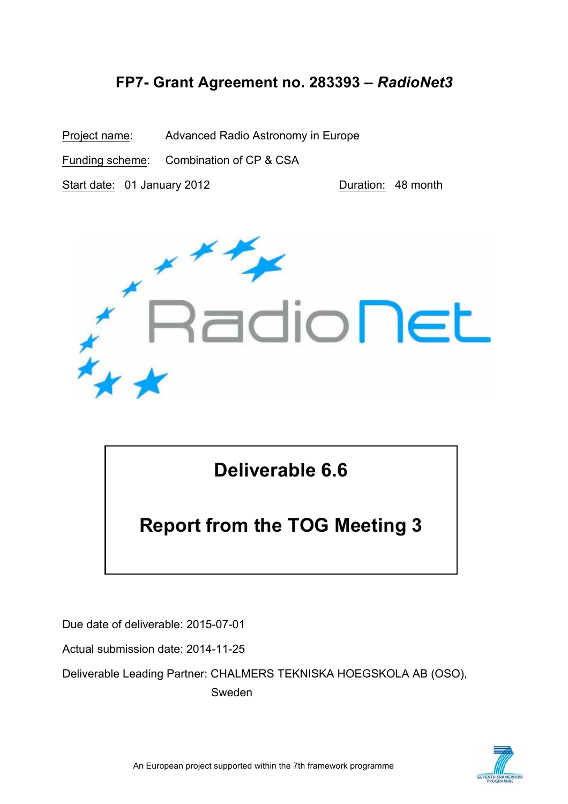### **FP7- Grant Agreement no. 283393 –** *RadioNet3*

Project name: Advanced Radio Astronomy in Europe

Funding scheme: Combination of CP & CSA

Start date: 01 January 2012 **Duration: 48 month** 



## **Deliverable 6.6**

# **Report from the TOG Meeting 3**

Due date of deliverable: 2015-07-01

Actual submission date: 2014-11-25

Deliverable Leading Partner: CHALMERS TEKNISKA HOEGSKOLA AB (OSO), Sweden

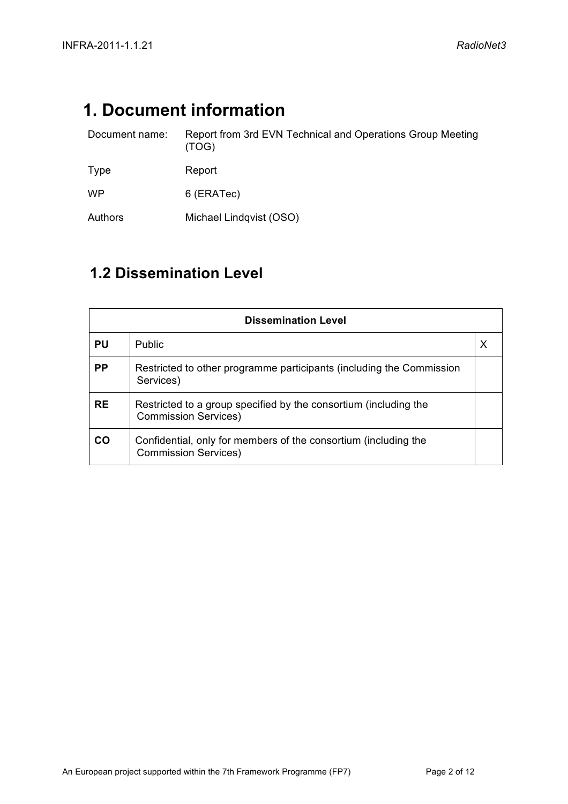## **1. Document information**

| Document name: | Report from 3rd EVN Technical and Operations Group Meeting<br>(TOG) |
|----------------|---------------------------------------------------------------------|
| Type           | Report                                                              |
| <b>WP</b>      | 6 (ERATec)                                                          |
| Authors        | Michael Lindqvist (OSO)                                             |

### **1.2 Dissemination Level**

| <b>Dissemination Level</b> |                                                                                                 |  |  |  |  |
|----------------------------|-------------------------------------------------------------------------------------------------|--|--|--|--|
| PU                         | <b>Public</b>                                                                                   |  |  |  |  |
| <b>PP</b>                  | Restricted to other programme participants (including the Commission<br>Services)               |  |  |  |  |
| <b>RE</b>                  | Restricted to a group specified by the consortium (including the<br><b>Commission Services)</b> |  |  |  |  |
| CO                         | Confidential, only for members of the consortium (including the<br><b>Commission Services)</b>  |  |  |  |  |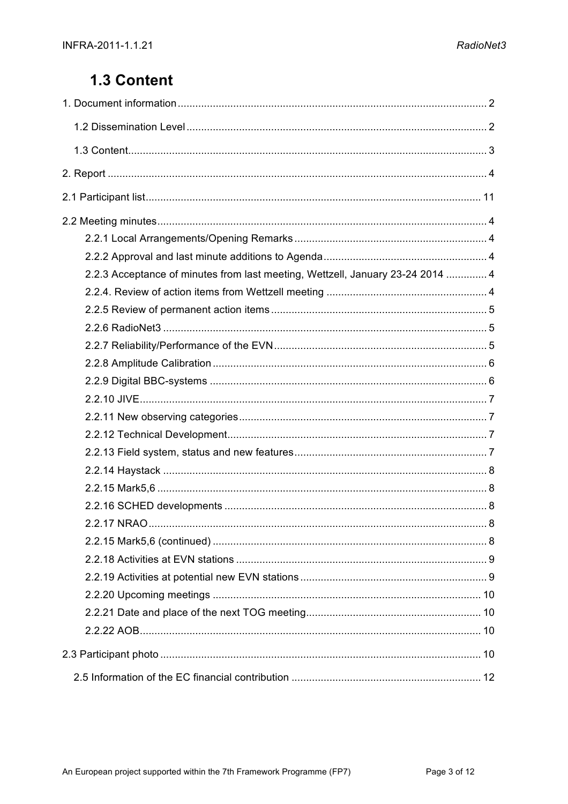### 1.3 Content

| 2.2.3 Acceptance of minutes from last meeting, Wettzell, January 23-24 2014  4 |  |
|--------------------------------------------------------------------------------|--|
|                                                                                |  |
|                                                                                |  |
|                                                                                |  |
|                                                                                |  |
|                                                                                |  |
|                                                                                |  |
|                                                                                |  |
|                                                                                |  |
|                                                                                |  |
|                                                                                |  |
|                                                                                |  |
|                                                                                |  |
|                                                                                |  |
| 2 2 17 NRAO.                                                                   |  |
|                                                                                |  |
|                                                                                |  |
|                                                                                |  |
|                                                                                |  |
|                                                                                |  |
|                                                                                |  |
|                                                                                |  |
|                                                                                |  |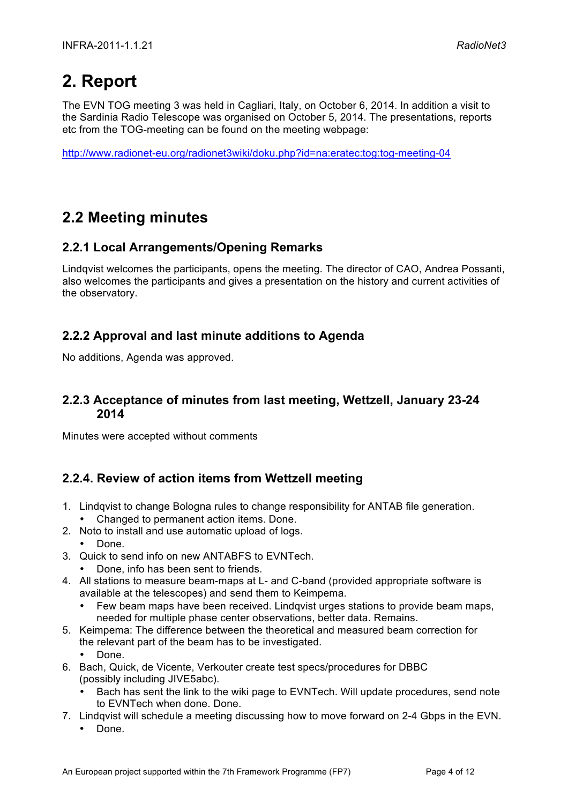## **2. Report**

The EVN TOG meeting 3 was held in Cagliari, Italy, on October 6, 2014. In addition a visit to the Sardinia Radio Telescope was organised on October 5, 2014. The presentations, reports etc from the TOG-meeting can be found on the meeting webpage:

http://www.radionet-eu.org/radionet3wiki/doku.php?id=na:eratec:tog:tog-meeting-04

### **2.2 Meeting minutes**

#### **2.2.1 Local Arrangements/Opening Remarks**

Lindqvist welcomes the participants, opens the meeting. The director of CAO, Andrea Possanti, also welcomes the participants and gives a presentation on the history and current activities of the observatory.

#### **2.2.2 Approval and last minute additions to Agenda**

No additions, Agenda was approved.

#### **2.2.3 Acceptance of minutes from last meeting, Wettzell, January 23-24 2014**

Minutes were accepted without comments

### **2.2.4. Review of action items from Wettzell meeting**

- 1. Lindqvist to change Bologna rules to change responsibility for ANTAB file generation. • Changed to permanent action items. Done.
- 2. Noto to install and use automatic upload of logs.
	- Done.
- 3. Quick to send info on new ANTABFS to EVNTech.
	- Done, info has been sent to friends.
- 4. All stations to measure beam-maps at L- and C-band (provided appropriate software is available at the telescopes) and send them to Keimpema.
	- Few beam maps have been received. Lindqvist urges stations to provide beam maps, needed for multiple phase center observations, better data. Remains.
- 5. Keimpema: The difference between the theoretical and measured beam correction for the relevant part of the beam has to be investigated.
	- Done.
- 6. Bach, Quick, de Vicente, Verkouter create test specs/procedures for DBBC (possibly including JIVE5abc).
	- Bach has sent the link to the wiki page to EVNTech. Will update procedures, send note to EVNTech when done. Done.
- 7. Lindqvist will schedule a meeting discussing how to move forward on 2-4 Gbps in the EVN.
	- Done.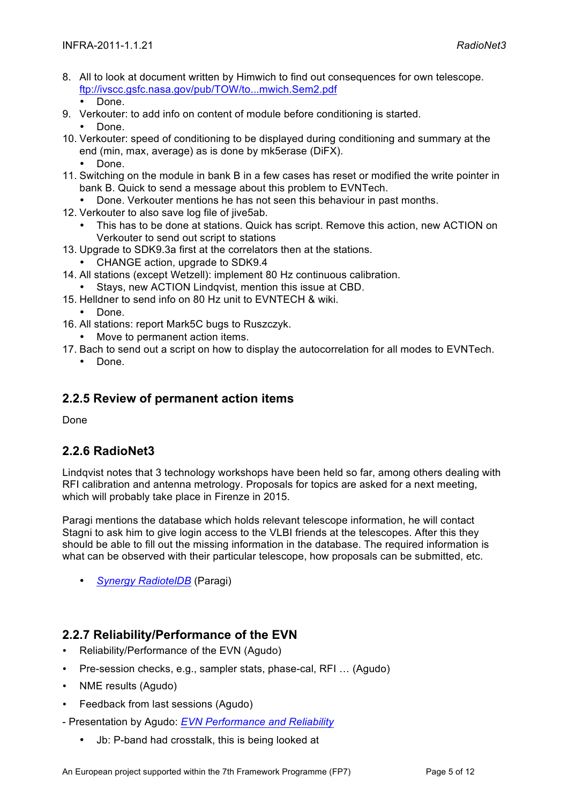- 8. All to look at document written by Himwich to find out consequences for own telescope. ftp://ivscc.gsfc.nasa.gov/pub/TOW/to...mwich.Sem2.pdf • Done.
- 9. Verkouter: to add info on content of module before conditioning is started.

• Done.

- 10. Verkouter: speed of conditioning to be displayed during conditioning and summary at the end (min, max, average) as is done by mk5erase (DiFX).
	- Done.
- 11. Switching on the module in bank B in a few cases has reset or modified the write pointer in bank B. Quick to send a message about this problem to EVNTech.
	- Done. Verkouter mentions he has not seen this behaviour in past months.
- 12. Verkouter to also save log file of jive5ab.
	- This has to be done at stations. Quick has script. Remove this action, new ACTION on Verkouter to send out script to stations
- 13. Upgrade to SDK9.3a first at the correlators then at the stations.
	- CHANGE action, upgrade to SDK9.4
- 14. All stations (except Wetzell): implement 80 Hz continuous calibration.
	- Stays, new ACTION Lindqvist, mention this issue at CBD.
- 15. Helldner to send info on 80 Hz unit to EVNTECH & wiki.
	- Done.
- 16. All stations: report Mark5C bugs to Ruszczyk.
	- Move to permanent action items.
- 17. Bach to send out a script on how to display the autocorrelation for all modes to EVNTech. • Done.

#### **2.2.5 Review of permanent action items**

Done

#### **2.2.6 RadioNet3**

Lindqvist notes that 3 technology workshops have been held so far, among others dealing with RFI calibration and antenna metrology. Proposals for topics are asked for a next meeting, which will probably take place in Firenze in 2015.

Paragi mentions the database which holds relevant telescope information, he will contact Stagni to ask him to give login access to the VLBI friends at the telescopes. After this they should be able to fill out the missing information in the database. The required information is what can be observed with their particular telescope, how proposals can be submitted, etc.

• *Synergy RadiotelDB* (Paragi)

#### **2.2.7 Reliability/Performance of the EVN**

- Reliability/Performance of the EVN (Agudo)
- Pre-session checks, e.g., sampler stats, phase-cal, RFI … (Agudo)
- NME results (Agudo)
- Feedback from last sessions (Agudo)
- Presentation by Agudo: *EVN Performance and Reliability*
	- Jb: P-band had crosstalk, this is being looked at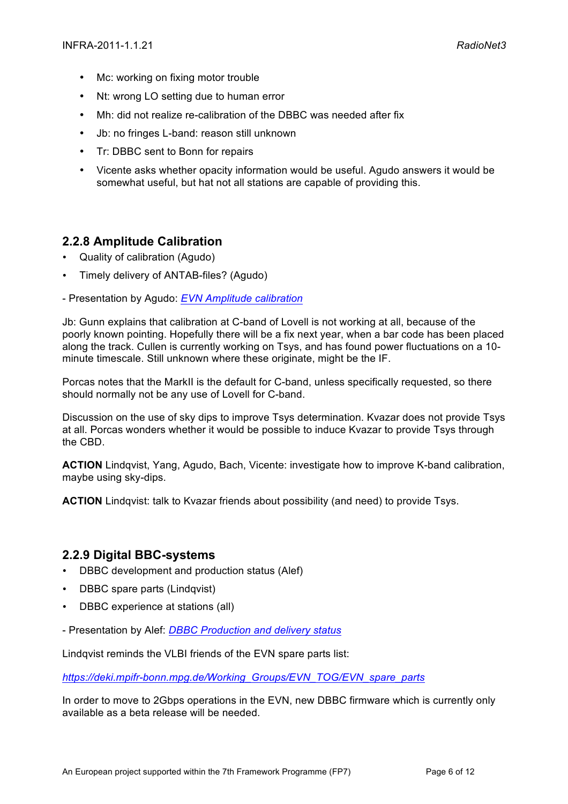- Mc: working on fixing motor trouble
- Nt: wrong LO setting due to human error
- Mh: did not realize re-calibration of the DBBC was needed after fix
- Jb: no fringes L-band: reason still unknown
- Tr: DBBC sent to Bonn for repairs
- Vicente asks whether opacity information would be useful. Agudo answers it would be somewhat useful, but hat not all stations are capable of providing this.

#### **2.2.8 Amplitude Calibration**

- Quality of calibration (Agudo)
- Timely delivery of ANTAB-files? (Agudo)
- Presentation by Agudo: *EVN Amplitude calibration*

Jb: Gunn explains that calibration at C-band of Lovell is not working at all, because of the poorly known pointing. Hopefully there will be a fix next year, when a bar code has been placed along the track. Cullen is currently working on Tsys, and has found power fluctuations on a 10 minute timescale. Still unknown where these originate, might be the IF.

Porcas notes that the MarkII is the default for C-band, unless specifically requested, so there should normally not be any use of Lovell for C-band.

Discussion on the use of sky dips to improve Tsys determination. Kvazar does not provide Tsys at all. Porcas wonders whether it would be possible to induce Kvazar to provide Tsys through the CBD.

**ACTION** Lindqvist, Yang, Agudo, Bach, Vicente: investigate how to improve K-band calibration, maybe using sky-dips.

**ACTION** Lindqvist: talk to Kvazar friends about possibility (and need) to provide Tsys.

#### **2.2.9 Digital BBC-systems**

- DBBC development and production status (Alef)
- DBBC spare parts (Lindqvist)
- DBBC experience at stations (all)
- Presentation by Alef: *DBBC Production and delivery status*

Lindqvist reminds the VLBI friends of the EVN spare parts list:

*https://deki.mpifr-bonn.mpg.de/Working\_Groups/EVN\_TOG/EVN\_spare\_parts*

In order to move to 2Gbps operations in the EVN, new DBBC firmware which is currently only available as a beta release will be needed.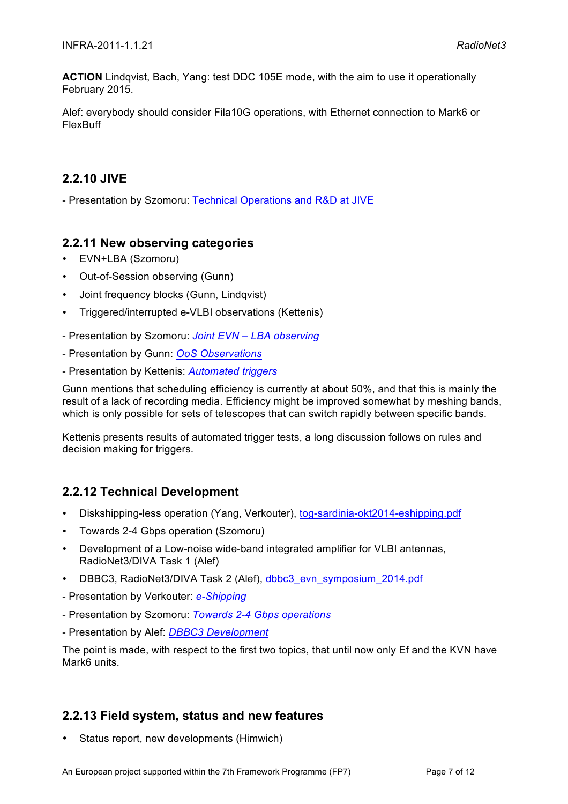**ACTION** Lindqvist, Bach, Yang: test DDC 105E mode, with the aim to use it operationally February 2015.

Alef: everybody should consider Fila10G operations, with Ethernet connection to Mark6 or FlexBuff

#### **2.2.10 JIVE**

- Presentation by Szomoru: Technical Operations and R&D at JIVE

#### **2.2.11 New observing categories**

- EVN+LBA (Szomoru)
- Out-of-Session observing (Gunn)
- Joint frequency blocks (Gunn, Lindqvist)
- Triggered/interrupted e-VLBI observations (Kettenis)
- Presentation by Szomoru: *Joint EVN – LBA observing*
- Presentation by Gunn: *OoS Observations*
- Presentation by Kettenis: *Automated triggers*

Gunn mentions that scheduling efficiency is currently at about 50%, and that this is mainly the result of a lack of recording media. Efficiency might be improved somewhat by meshing bands, which is only possible for sets of telescopes that can switch rapidly between specific bands.

Kettenis presents results of automated trigger tests, a long discussion follows on rules and decision making for triggers.

#### **2.2.12 Technical Development**

- Diskshipping-less operation (Yang, Verkouter), tog-sardinia-okt2014-eshipping.pdf
- Towards 2-4 Gbps operation (Szomoru)
- Development of a Low-noise wide-band integrated amplifier for VLBI antennas, RadioNet3/DIVA Task 1 (Alef)
- DBBC3, RadioNet3/DIVA Task 2 (Alef), dbbc3\_evn\_symposium\_2014.pdf
- Presentation by Verkouter: *e-Shipping*
- Presentation by Szomoru: *Towards 2-4 Gbps operations*
- Presentation by Alef: *DBBC3 Development*

The point is made, with respect to the first two topics, that until now only Ef and the KVN have Mark6 units.

#### **2.2.13 Field system, status and new features**

• Status report, new developments (Himwich)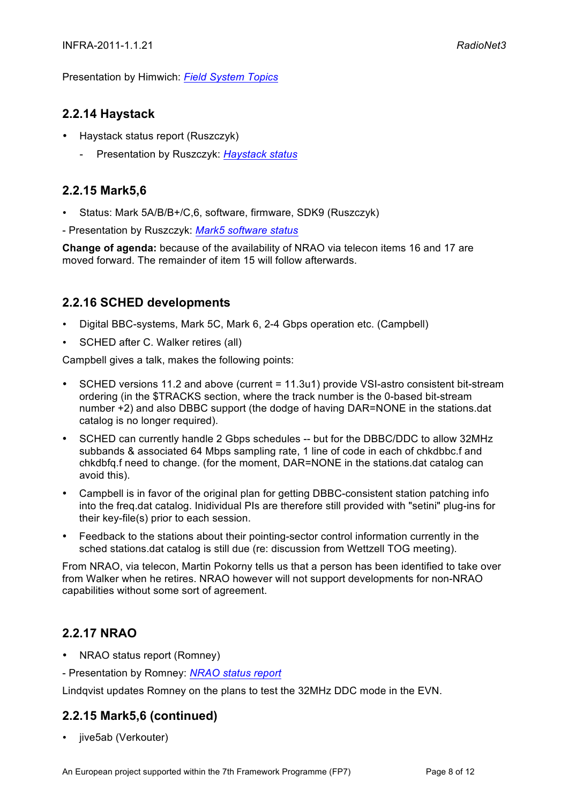Presentation by Himwich: *Field System Topics*

#### **2.2.14 Haystack**

- Haystack status report (Ruszczyk)
	- Presentation by Ruszczyk: *Haystack status*

#### **2.2.15 Mark5,6**

- Status: Mark 5A/B/B+/C,6, software, firmware, SDK9 (Ruszczyk)
- Presentation by Ruszczyk: *Mark5 software status*

**Change of agenda:** because of the availability of NRAO via telecon items 16 and 17 are moved forward. The remainder of item 15 will follow afterwards.

#### **2.2.16 SCHED developments**

- Digital BBC-systems, Mark 5C, Mark 6, 2-4 Gbps operation etc. (Campbell)
- SCHED after C. Walker retires (all)

Campbell gives a talk, makes the following points:

- SCHED versions 11.2 and above (current = 11.3u1) provide VSI-astro consistent bit-stream ordering (in the \$TRACKS section, where the track number is the 0-based bit-stream number +2) and also DBBC support (the dodge of having DAR=NONE in the stations.dat catalog is no longer required).
- SCHED can currently handle 2 Gbps schedules -- but for the DBBC/DDC to allow 32MHz subbands & associated 64 Mbps sampling rate, 1 line of code in each of chkdbbc.f and chkdbfq.f need to change. (for the moment, DAR=NONE in the stations.dat catalog can avoid this).
- Campbell is in favor of the original plan for getting DBBC-consistent station patching info into the freq.dat catalog. Inidividual PIs are therefore still provided with "setini" plug-ins for their key-file(s) prior to each session.
- Feedback to the stations about their pointing-sector control information currently in the sched stations.dat catalog is still due (re: discussion from Wettzell TOG meeting).

From NRAO, via telecon, Martin Pokorny tells us that a person has been identified to take over from Walker when he retires. NRAO however will not support developments for non-NRAO capabilities without some sort of agreement.

#### **2.2.17 NRAO**

- NRAO status report (Romney)
- Presentation by Romney: *NRAO status report*

Lindqvist updates Romney on the plans to test the 32MHz DDC mode in the EVN.

#### **2.2.15 Mark5,6 (continued)**

• jive5ab (Verkouter)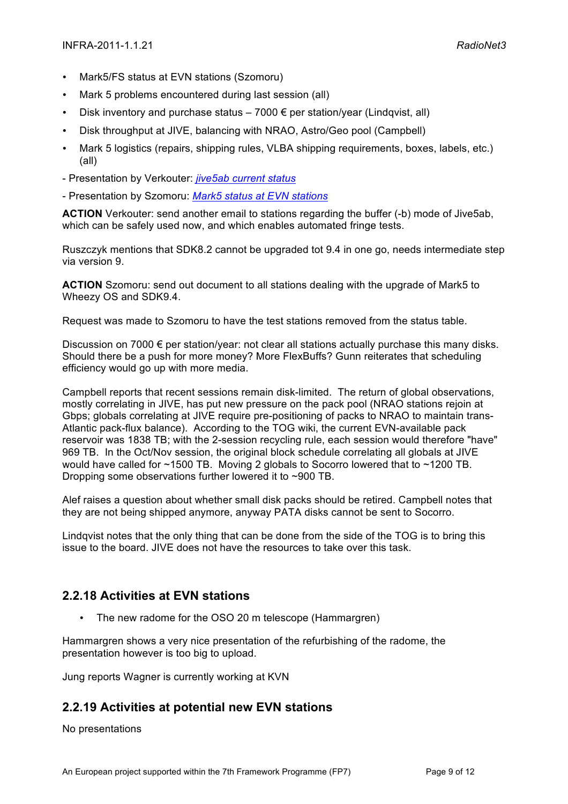- Mark5/FS status at EVN stations (Szomoru)
- Mark 5 problems encountered during last session (all)
- Disk inventory and purchase status  $-7000 \in$  per station/vear (Lindqvist, all)
- Disk throughput at JIVE, balancing with NRAO, Astro/Geo pool (Campbell)
- Mark 5 logistics (repairs, shipping rules, VLBA shipping requirements, boxes, labels, etc.) (all)
- Presentation by Verkouter: *jive5ab current status*
- Presentation by Szomoru: *Mark5 status at EVN stations*

**ACTION** Verkouter: send another email to stations regarding the buffer (-b) mode of Jive5ab, which can be safely used now, and which enables automated fringe tests.

Ruszczyk mentions that SDK8.2 cannot be upgraded tot 9.4 in one go, needs intermediate step via version 9.

**ACTION** Szomoru: send out document to all stations dealing with the upgrade of Mark5 to Wheezy OS and SDK9.4.

Request was made to Szomoru to have the test stations removed from the status table.

Discussion on 7000 € per station/year: not clear all stations actually purchase this many disks. Should there be a push for more money? More FlexBuffs? Gunn reiterates that scheduling efficiency would go up with more media.

Campbell reports that recent sessions remain disk-limited. The return of global observations, mostly correlating in JIVE, has put new pressure on the pack pool (NRAO stations rejoin at Gbps; globals correlating at JIVE require pre-positioning of packs to NRAO to maintain trans-Atlantic pack-flux balance). According to the TOG wiki, the current EVN-available pack reservoir was 1838 TB; with the 2-session recycling rule, each session would therefore "have" 969 TB. In the Oct/Nov session, the original block schedule correlating all globals at JIVE would have called for ~1500 TB. Moving 2 globals to Socorro lowered that to ~1200 TB. Dropping some observations further lowered it to ~900 TB.

Alef raises a question about whether small disk packs should be retired. Campbell notes that they are not being shipped anymore, anyway PATA disks cannot be sent to Socorro.

Lindqvist notes that the only thing that can be done from the side of the TOG is to bring this issue to the board. JIVE does not have the resources to take over this task.

#### **2.2.18 Activities at EVN stations**

• The new radome for the OSO 20 m telescope (Hammargren)

Hammargren shows a very nice presentation of the refurbishing of the radome, the presentation however is too big to upload.

Jung reports Wagner is currently working at KVN

#### **2.2.19 Activities at potential new EVN stations**

No presentations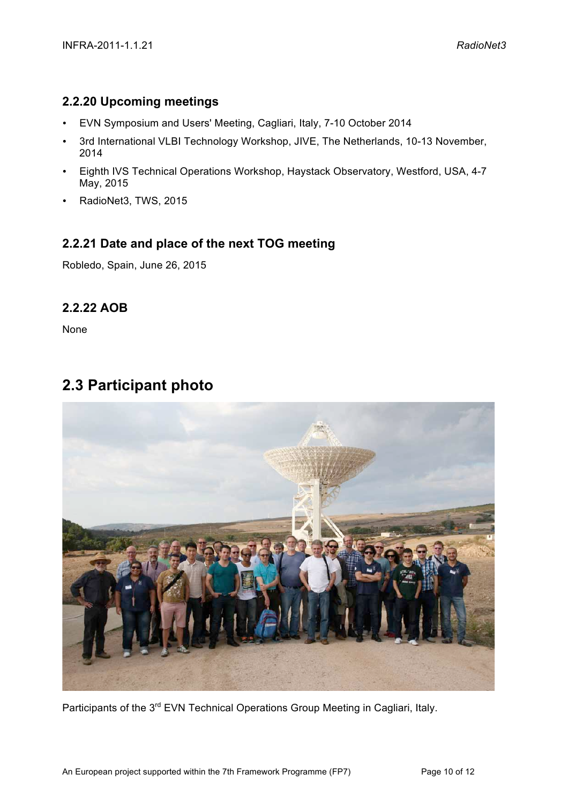#### **2.2.20 Upcoming meetings**

- EVN Symposium and Users' Meeting, Cagliari, Italy, 7-10 October 2014
- 3rd International VLBI Technology Workshop, JIVE, The Netherlands, 10-13 November, 2014
- Eighth IVS Technical Operations Workshop, Haystack Observatory, Westford, USA, 4-7 May, 2015
- RadioNet3, TWS, 2015

#### **2.2.21 Date and place of the next TOG meeting**

Robledo, Spain, June 26, 2015

#### **2.2.22 AOB**

None

### **2.3 Participant photo**



Participants of the 3<sup>rd</sup> EVN Technical Operations Group Meeting in Cagliari, Italy.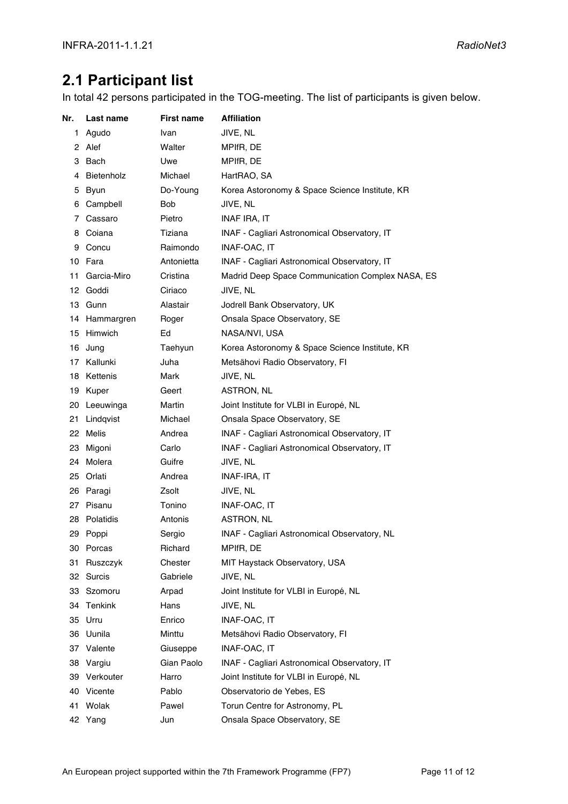### **2.1 Participant list**

In total 42 persons participated in the TOG-meeting. The list of participants is given below.

| Nr. | Last name    | <b>First name</b> | <b>Affiliation</b>                               |
|-----|--------------|-------------------|--------------------------------------------------|
| 1   | Agudo        | Ivan              | JIVE, NL                                         |
|     | 2 Alef       | Walter            | MPIfR, DE                                        |
| 3   | Bach         | Uwe               | MPIfR, DE                                        |
| 4   | Bietenholz   | Michael           | HartRAO, SA                                      |
| 5   | Byun         | Do-Young          | Korea Astoronomy & Space Science Institute, KR   |
| 6   | Campbell     | <b>Bob</b>        | JIVE, NL                                         |
| 7   | Cassaro      | Pietro            | <b>INAF IRA, IT</b>                              |
| 8   | Coiana       | Tiziana           | INAF - Cagliari Astronomical Observatory, IT     |
| 9   | Concu        | Raimondo          | <b>INAF-OAC. IT</b>                              |
| 10  | Fara         | Antonietta        | INAF - Cagliari Astronomical Observatory, IT     |
| 11  | Garcia-Miro  | Cristina          | Madrid Deep Space Communication Complex NASA, ES |
|     | 12 Goddi     | Ciriaco           | JIVE, NL                                         |
|     | 13 Gunn      | Alastair          | Jodrell Bank Observatory, UK                     |
| 14  | Hammargren   | Roger             | Onsala Space Observatory, SE                     |
| 15  | Himwich      | Ed                | NASA/NVI, USA                                    |
| 16  | Jung         | Taehyun           | Korea Astoronomy & Space Science Institute, KR   |
|     | 17 Kallunki  | Juha              | Metsähovi Radio Observatory, FI                  |
| 18  | Kettenis     | Mark              | JIVE, NL                                         |
|     | 19 Kuper     | Geert             | ASTRON, NL                                       |
|     | 20 Leeuwinga | Martin            | Joint Institute for VLBI in Europé, NL           |
| 21  | Lindqvist    | Michael           | Onsala Space Observatory, SE                     |
| 22  | <b>Melis</b> | Andrea            | INAF - Cagliari Astronomical Observatory, IT     |
| 23  | Migoni       | Carlo             | INAF - Cagliari Astronomical Observatory, IT     |
|     | 24 Molera    | Guifre            | JIVE, NL                                         |
|     | 25 Orlati    | Andrea            | INAF-IRA, IT                                     |
| 26  | Paragi       | Zsolt             | JIVE, NL                                         |
| 27  | Pisanu       | Tonino            | INAF-OAC, IT                                     |
| 28  | Polatidis    | Antonis           | ASTRON, NL                                       |
|     | 29 Poppi     | Sergio            | INAF - Cagliari Astronomical Observatory, NL     |
| 30  | Porcas       | Richard           | MPIfR, DE                                        |
| 31  | Ruszczyk     | Chester           | MIT Haystack Observatory, USA                    |
| 32  | Surcis       | Gabriele          | JIVE, NL                                         |
| 33  | Szomoru      | Arpad             | Joint Institute for VLBI in Europé, NL           |
|     | 34 Tenkink   | Hans              | JIVE, NL                                         |
|     | 35 Urru      | Enrico            | INAF-OAC, IT                                     |
| 36  | Uunila       | Minttu            | Metsähovi Radio Observatory, FI                  |
| 37  | Valente      | Giuseppe          | INAF-OAC, IT                                     |
| 38  | Vargiu       | Gian Paolo        | INAF - Cagliari Astronomical Observatory, IT     |
| 39  | Verkouter    | Harro             | Joint Institute for VLBI in Europé, NL           |
| 40  | Vicente      | Pablo             | Observatorio de Yebes, ES                        |
| 41  | Wolak        | Pawel             | Torun Centre for Astronomy, PL                   |
|     | 42 Yang      | Jun               | Onsala Space Observatory, SE                     |